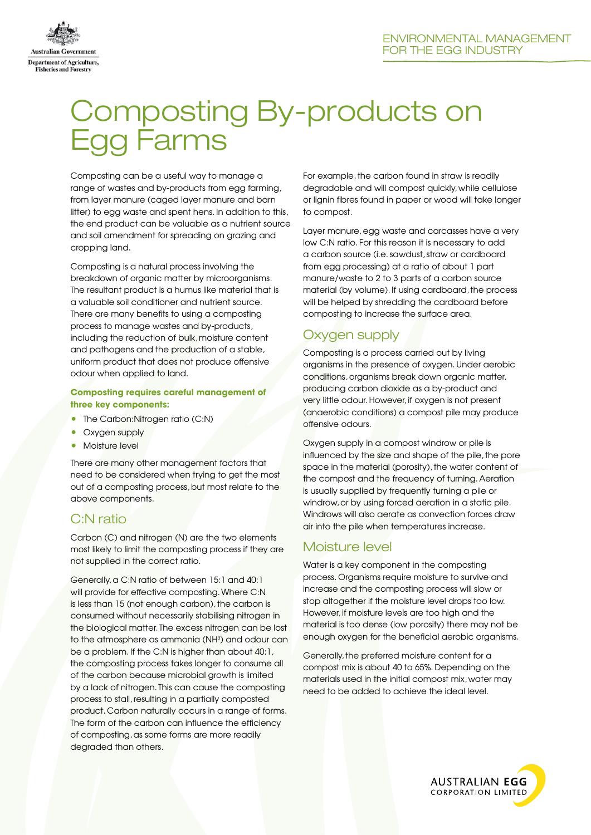

# Composting By-products on Egg Farms

Composting can be a useful way to manage a range of wastes and by-products from egg farming, from layer manure (caged layer manure and barn litter) to egg waste and spent hens. In addition to this, the end product can be valuable as a nutrient source and soil amendment for spreading on grazing and cropping land.

Composting is a natural process involving the breakdown of organic matter by microorganisms. The resultant product is a humus like material that is a valuable soil conditioner and nutrient source. There are many benefits to using a composting process to manage wastes and by-products, including the reduction of bulk, moisture content and pathogens and the production of a stable, uniform product that does not produce offensive odour when applied to land.

#### **Composting requires careful management of three key components:**

- The Carbon:Nitrogen ratio (C:N)
- Oxygen supply
- Moisture level

There are many other management factors that need to be considered when trying to get the most out of a composting process, but most relate to the above components.

# C:N ratio

Carbon (C) and nitrogen (N) are the two elements most likely to limit the composting process if they are not supplied in the correct ratio.

Generally, a C:N ratio of between 15:1 and 40:1 will provide for effective composting. Where C:N is less than 15 (not enough carbon), the carbon is consumed without necessarily stabilising nitrogen in the biological matter. The excess nitrogen can be lost to the atmosphere as ammonia (NH<sup>3</sup>) and odour can be a problem. If the C:N is higher than about 40:1, the composting process takes longer to consume all of the carbon because microbial growth is limited by a lack of nitrogen. This can cause the composting process to stall, resulting in a partially composted product. Carbon naturally occurs in a range of forms. The form of the carbon can influence the efficiency of composting, as some forms are more readily degraded than others.

For example, the carbon found in straw is readily degradable and will compost quickly, while cellulose or lignin fibres found in paper or wood will take longer to compost.

Layer manure, egg waste and carcasses have a very low C:N ratio. For this reason it is necessary to add a carbon source (i.e. sawdust, straw or cardboard from egg processing) at a ratio of about 1 part manure/waste to 2 to 3 parts of a carbon source material (by volume). If using cardboard, the process will be helped by shredding the cardboard before composting to increase the surface area.

# Oxygen supply

Composting is a process carried out by living organisms in the presence of oxygen. Under aerobic conditions, organisms break down organic matter, producing carbon dioxide as a by-product and very little odour. However, if oxygen is not present (anaerobic conditions) a compost pile may produce offensive odours.

Oxygen supply in a compost windrow or pile is influenced by the size and shape of the pile, the pore space in the material (porosity), the water content of the compost and the frequency of turning. Aeration is usually supplied by frequently turning a pile or windrow, or by using forced aeration in a static pile. Windrows will also aerate as convection forces draw air into the pile when temperatures increase.

# Moisture level

Water is a key component in the composting process. Organisms require moisture to survive and increase and the composting process will slow or stop altogether if the moisture level drops too low. However, if moisture levels are too high and the material is too dense (low porosity) there may not be enough oxygen for the beneficial aerobic organisms.

Generally, the preferred moisture content for a compost mix is about 40 to 65%. Depending on the materials used in the initial compost mix, water may need to be added to achieve the ideal level.

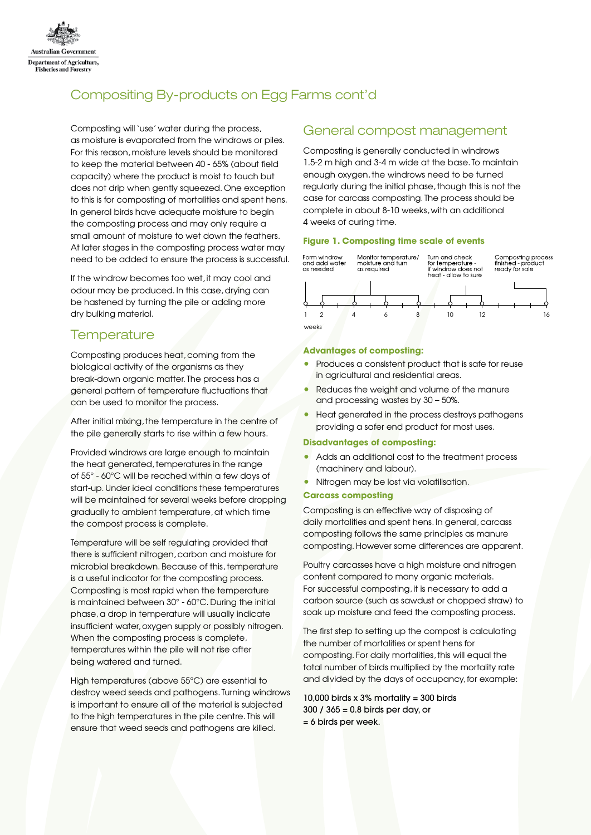

# Compositing By-products on Egg Farms cont'd

Composting will 'use' water during the process, as moisture is evaporated from the windrows or piles. For this reason, moisture levels should be monitored to keep the material between 40 - 65% (about field capacity) where the product is moist to touch but does not drip when gently squeezed. One exception to this is for composting of mortalities and spent hens. In general birds have adequate moisture to begin the composting process and may only require a small amount of moisture to wet down the feathers. At later stages in the composting process water may need to be added to ensure the process is successful.

If the windrow becomes too wet, it may cool and odour may be produced. In this case, drying can be hastened by turning the pile or adding more dry bulking material.

# **Temperature**

Composting produces heat, coming from the biological activity of the organisms as they break-down organic matter. The process has a general pattern of temperature fluctuations that can be used to monitor the process.

After initial mixing, the temperature in the centre of the pile generally starts to rise within a few hours.

Provided windrows are large enough to maintain the heat generated, temperatures in the range of 55° - 60°C will be reached within a few days of start-up. Under ideal conditions these temperatures will be maintained for several weeks before dropping gradually to ambient temperature, at which time the compost process is complete.

Temperature will be self regulating provided that there is sufficient nitrogen, carbon and moisture for microbial breakdown. Because of this, temperature is a useful indicator for the composting process. Composting is most rapid when the temperature is maintained between 30° - 60°C. During the initial phase, a drop in temperature will usually indicate insufficient water, oxygen supply or possibly nitrogen. When the composting process is complete, temperatures within the pile will not rise after being watered and turned.

High temperatures (above 55°C) are essential to destroy weed seeds and pathogens. Turning windrows is important to ensure all of the material is subjected to the high temperatures in the pile centre. This will ensure that weed seeds and pathogens are killed.

## General compost management

Composting is generally conducted in windrows 1.5-2 m high and 3-4 m wide at the base. To maintain enough oxygen, the windrows need to be turned regularly during the initial phase, though this is not the case for carcass composting. The process should be complete in about 8-10 weeks, with an additional 4 weeks of curing time.

#### **Figure 1. Composting time scale of events**



#### **Advantages of composting:**

- Produces a consistent product that is safe for reuse in agricultural and residential areas.
- Reduces the weight and volume of the manure and processing wastes by 30 – 50%.
- Heat generated in the process destroys pathogens providing a safer end product for most uses.

#### **Disadvantages of composting:**

- Adds an additional cost to the treatment process (machinery and labour).
- Nitrogen may be lost via volatilisation.

#### **Carcass composting**

Composting is an effective way of disposing of daily mortalities and spent hens. In general, carcass composting follows the same principles as manure composting. However some differences are apparent.

Poultry carcasses have a high moisture and nitrogen content compared to many organic materials. For successful composting, it is necessary to add a carbon source (such as sawdust or chopped straw) to soak up moisture and feed the composting process.

The first step to setting up the compost is calculating the number of mortalities or spent hens for composting. For daily mortalities, this will equal the total number of birds multiplied by the mortality rate and divided by the days of occupancy, for example:

10,000 birds x  $3\%$  mortality = 300 birds 300 / 365 = 0.8 birds per day, or = 6 birds per week.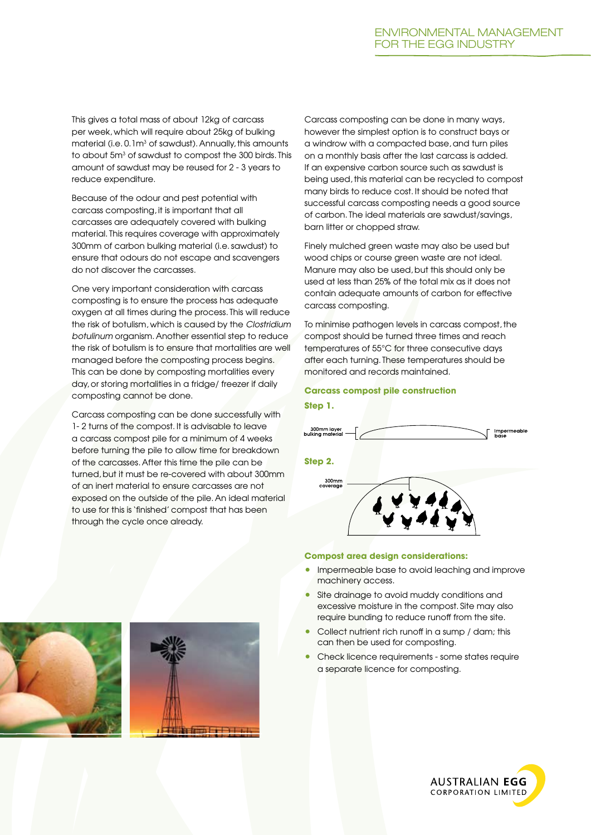This gives a total mass of about 12kg of carcass per week, which will require about 25kg of bulking  $m$ aterial (i.e.  $0.1m<sup>3</sup>$  of sawdust). Annually, this amounts to about 5m<sup>3</sup> of sawdust to compost the 300 birds. This amount of sawdust may be reused for 2 - 3 years to reduce expenditure.

Because of the odour and pest potential with carcass composting, it is important that all carcasses are adequately covered with bulking material. This requires coverage with approximately 300mm of carbon bulking material (i.e. sawdust) to ensure that odours do not escape and scavengers do not discover the carcasses.

One very important consideration with carcass composting is to ensure the process has adequate oxygen at all times during the process. This will reduce the risk of botulism, which is caused by the *Clostridium botulinum* organism. Another essential step to reduce the risk of botulism is to ensure that mortalities are well managed before the composting process begins. This can be done by composting mortalities every day, or storing mortalities in a fridge/ freezer if daily composting cannot be done.

Carcass composting can be done successfully with 1- 2 turns of the compost. It is advisable to leave a carcass compost pile for a minimum of 4 weeks before turning the pile to allow time for breakdown of the carcasses. After this time the pile can be turned, but it must be re-covered with about 300mm of an inert material to ensure carcasses are not exposed on the outside of the pile. An ideal material to use for this is 'finished' compost that has been through the cycle once already.

Carcass composting can be done in many ways, however the simplest option is to construct bays or a windrow with a compacted base, and turn piles on a monthly basis after the last carcass is added. If an expensive carbon source such as sawdust is being used, this material can be recycled to compost many birds to reduce cost. It should be noted that successful carcass composting needs a good source of carbon. The ideal materials are sawdust/savings, barn litter or chopped straw.

Finely mulched green waste may also be used but wood chips or course green waste are not ideal. Manure may also be used, but this should only be used at less than 25% of the total mix as it does not contain adequate amounts of carbon for effective carcass composting.

To minimise pathogen levels in carcass compost, the compost should be turned three times and reach temperatures of 55°C for three consecutive days after each turning. These temperatures should be monitored and records maintained.

#### **Carcass compost pile construction Step 1.**





- Impermeable base to avoid leaching and improve machinery access.
- Site drainage to avoid muddy conditions and excessive moisture in the compost. Site may also require bunding to reduce runoff from the site.
- Collect nutrient rich runoff in a sump / dam; this can then be used for composting.
- Check licence requirements some states require a separate licence for composting.





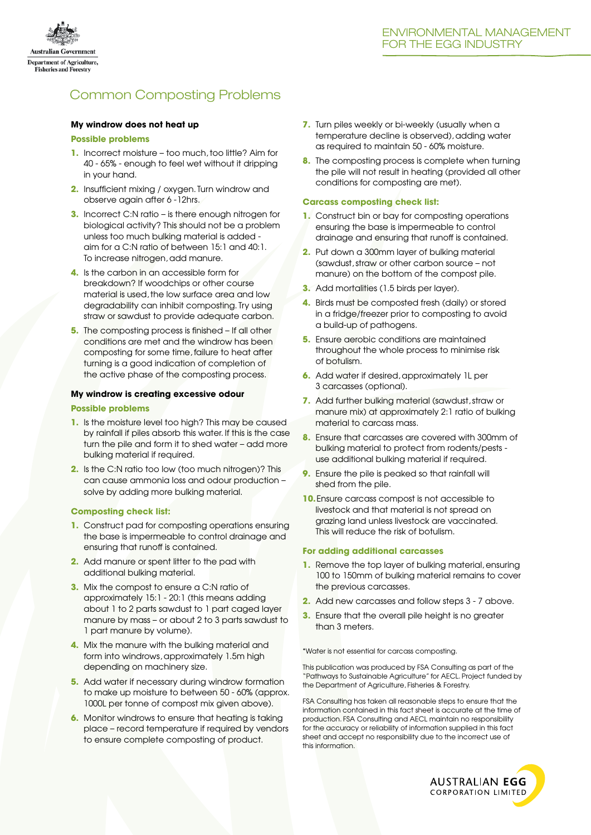

# Common Composting Problems

#### **My windrow does not heat up**

#### **Possible problems**

- **1.** Incorrect moisture too much, too little? Aim for 40 - 65% - enough to feel wet without it dripping in your hand.
- **2.** Insufficient mixing / oxygen. Turn windrow and observe again after 6 -12hrs.
- **3.** Incorrect C:N ratio is there enough nitrogen for biological activity? This should not be a problem unless too much bulking material is added aim for a C:N ratio of between 15:1 and 40:1. To increase nitrogen, add manure.
- **4.** Is the carbon in an accessible form for breakdown? If woodchips or other course material is used, the low surface area and low degradability can inhibit composting. Try using straw or sawdust to provide adequate carbon.
- **5.** The composting process is finished If all other conditions are met and the windrow has been composting for some time, failure to heat after turning is a good indication of completion of the active phase of the composting process.

#### **My windrow is creating excessive odour**

#### **Possible problems**

- **1.** Is the moisture level too high? This may be caused by rainfall if piles absorb this water. If this is the case turn the pile and form it to shed water – add more bulking material if required.
- **2.** Is the C:N ratio too low (too much nitrogen)? This can cause ammonia loss and odour production – solve by adding more bulking material.

#### **Composting check list:**

- **1.** Construct pad for composting operations ensuring the base is impermeable to control drainage and ensuring that runoff is contained.
- **2.** Add manure or spent litter to the pad with additional bulking material.
- **3.** Mix the compost to ensure a C:N ratio of approximately 15:1 - 20:1 (this means adding about 1 to 2 parts sawdust to 1 part caged layer manure by mass – or about 2 to 3 parts sawdust to 1 part manure by volume).
- **4.** Mix the manure with the bulking material and form into windrows, approximately 1.5m high depending on machinery size.
- **5.** Add water if necessary during windrow formation to make up moisture to between 50 - 60% (approx. 1000L per tonne of compost mix given above).
- **6.** Monitor windrows to ensure that heating is taking place – record temperature if required by vendors to ensure complete composting of product.
- **7.** Turn piles weekly or bi-weekly (usually when a temperature decline is observed), adding water as required to maintain 50 - 60% moisture.
- **8.** The composting process is complete when turning the pile will not result in heating (provided all other conditions for composting are met).

#### **Carcass composting check list:**

- **1.** Construct bin or bay for composting operations ensuring the base is impermeable to control drainage and ensuring that runoff is contained.
- **2.** Put down a 300mm layer of bulking material (sawdust, straw or other carbon source – not manure) on the bottom of the compost pile.
- **3.** Add mortalities (1.5 birds per layer).
- **4.** Birds must be composted fresh (daily) or stored in a fridge/freezer prior to composting to avoid a build-up of pathogens.
- **5.** Ensure aerobic conditions are maintained throughout the whole process to minimise risk of botulism.
- **6.** Add water if desired, approximately 1L per 3 carcasses (optional).
- **7.** Add further bulking material (sawdust, straw or manure mix) at approximately 2:1 ratio of bulking material to carcass mass.
- **8.** Ensure that carcasses are covered with 300mm of bulking material to protect from rodents/pests use additional bulking material if required.
- **9.** Ensure the pile is peaked so that rainfall will shed from the pile.
- **10.**Ensure carcass compost is not accessible to livestock and that material is not spread on grazing land unless livestock are vaccinated. This will reduce the risk of botulism.

#### **For adding additional carcasses**

- **1.** Remove the top layer of bulking material, ensuring 100 to 150mm of bulking material remains to cover the previous carcasses.
- **2.** Add new carcasses and follow steps 3 7 above.
- **3.** Ensure that the overall pile height is no greater than 3 meters.

\*Water is not essential for carcass composting.

This publication was produced by FSA Consulting as part of the "Pathways to Sustainable Agriculture" for AECL. Project funded by the Department of Agriculture, Fisheries & Forestry.

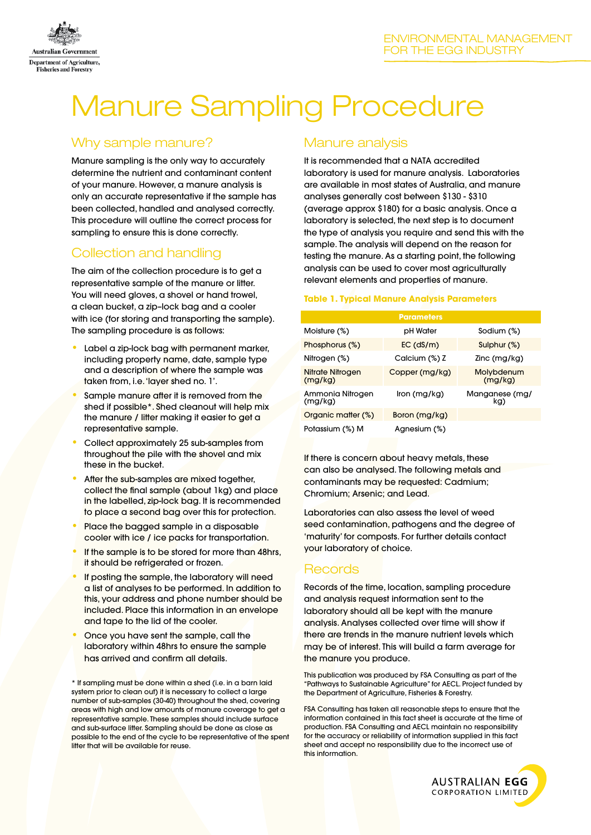

# Manure Sampling Procedure

# Why sample manure?

Manure sampling is the only way to accurately determine the nutrient and contaminant content of your manure. However, a manure analysis is only an accurate representative if the sample has been collected, handled and analysed correctly. This procedure will outline the correct process for sampling to ensure this is done correctly.

# Collection and handling

The aim of the collection procedure is to get a representative sample of the manure or litter. You will need gloves, a shovel or hand trowel, a clean bucket, a zip–lock bag and a cooler with ice (for storing and transporting the sample). The sampling procedure is as follows:

- Label a zip-lock bag with permanent marker, including property name, date, sample type and a description of where the sample was taken from, i.e. 'layer shed no. 1'.
- Sample manure after it is removed from the shed if possible<sup>\*</sup>. Shed cleanout will help mix the manure / litter making it easier to get a representative sample.
- Collect approximately 25 sub-samples from throughout the pile with the shovel and mix these in the bucket.
- After the sub-samples are mixed together, collect the final sample (about 1kg) and place in the labelled, zip-lock bag. It is recommended to place a second bag over this for protection.
- Place the bagged sample in a disposable cooler with ice / ice packs for transportation.
- If the sample is to be stored for more than 48hrs, it should be refrigerated or frozen.
- If posting the sample, the laboratory will need a list of analyses to be performed. In addition to this, your address and phone number should be included. Place this information in an envelope and tape to the lid of the cooler.
- Once you have sent the sample, call the laboratory within 48hrs to ensure the sample has arrived and confirm all details.

\* If sampling must be done within a shed (i.e. in a barn laid system prior to clean out) it is necessary to collect a large number of sub-samples (30-40) throughout the shed, covering areas with high and low amounts of manure coverage to get a representative sample. These samples should include surface and sub-surface litter. Sampling should be done as close as possible to the end of the cycle to be representative of the spent litter that will be available for reuse.

# Manure analysis

It is recommended that a NATA accredited laboratory is used for manure analysis. Laboratories are available in most states of Australia, and manure analyses generally cost between \$130 - \$310 (average approx \$180) for a basic analysis. Once a laboratory is selected, the next step is to document the type of analysis you require and send this with the sample. The analysis will depend on the reason for testing the manure. As a starting point, the following analysis can be used to cover most agriculturally relevant elements and properties of manure.

#### **Table 1. Typical Manure Analysis Parameters**

|                             | <b>Parameters</b> |                       |
|-----------------------------|-------------------|-----------------------|
| Moisture (%)                | pH Water          | Sodium (%)            |
| Phosphorus (%)              | EC (dS/m)         | Sulphur (%)           |
| Nitrogen (%)                | Calcium (%) Z     | Zinc (mg/kg)          |
| Nitrate Nitrogen<br>(mg/kg) | Copper (mg/kg)    | Molybdenum<br>(mg/kg) |
| Ammonia Nitrogen<br>(mg/kg) | lron (mg/kg)      | Manganese (mg/<br>kg) |
| Organic matter (%)          | Boron (mg/kg)     |                       |
| Potassium (%) M             | Agnesium (%)      |                       |

If there is concern about heavy metals, these can also be analysed. The following metals and contaminants may be requested: Cadmium; Chromium; Arsenic; and Lead.

Laboratories can also assess the level of weed seed contamination, pathogens and the degree of 'maturity' for composts. For further details contact your laboratory of choice.

# Records

Records of the time, location, sampling procedure and analysis request information sent to the laboratory should all be kept with the manure analysis. Analyses collected over time will show if there are trends in the manure nutrient levels which may be of interest. This will build a farm average for the manure you produce.

This publication was produced by FSA Consulting as part of the "Pathways to Sustainable Agriculture" for AECL. Project funded by the Department of Agriculture, Fisheries & Forestry.

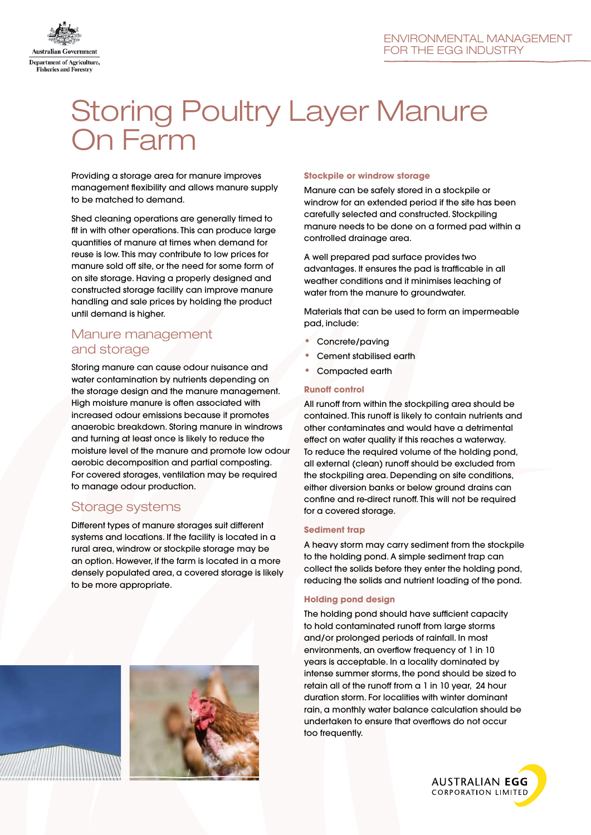

# Storing Poultry Layer Manure On Farm

Providing a storage area for manure improves management flexibility and allows manure supply to be matched to demand.

Shed cleaning operations are generally timed to fit in with other operations. This can produce large quantities of manure at times when demand for reuse is low. This may contribute to low prices for manure sold off site, or the need for some form of on site storage. Having a properly designed and constructed storage facility can improve manure handling and sale prices by holding the product until demand is higher.

## Manure management and storage

Storing manure can cause odour nuisance and water contamination by nutrients depending on the storage design and the manure management. High moisture manure is often associated with increased odour emissions because it promotes anaerobic breakdown. Storing manure in windrows and turning at least once is likely to reduce the moisture level of the manure and promote low odour aerobic decomposition and partial composting. For covered storages, ventilation may be required to manage odour production.

# Storage systems

Different types of manure storages suit different systems and locations. If the facility is located in a rural area, windrow or stockpile storage may be an option. However, if the farm is located in a more densely populated area, a covered storage is likely to be more appropriate.

#### **Stockpile or windrow storage**

Manure can be safely stored in a stockpile or windrow for an extended period if the site has been carefully selected and constructed. Stockpiling manure needs to be done on a formed pad within a controlled drainage area.

A well prepared pad surface provides two advantages. It ensures the pad is trafficable in all weather conditions and it minimises leaching of water from the manure to groundwater.

Materials that can be used to form an impermeable pad, include:

- Concrete/paving
- Cement stabilised earth
- • Compacted earth

#### **Runoff control**

All runoff from within the stockpiling area should be contained. This runoff is likely to contain nutrients and other contaminates and would have a detrimental effect on water quality if this reaches a waterway. To reduce the required volume of the holding pond, all external (clean) runoff should be excluded from the stockpiling area. Depending on site conditions, either diversion banks or below ground drains can confine and re-direct runoff. This will not be required for a covered storage.

#### **Sediment trap**

A heavy storm may carry sediment from the stockpile to the holding pond. A simple sediment trap can collect the solids before they enter the holding pond, reducing the solids and nutrient loading of the pond.

#### **Holding pond design**

The holding pond should have sufficient capacity to hold contaminated runoff from large storms and/or prolonged periods of rainfall. In most environments, an overflow frequency of 1 in 10 years is acceptable. In a locality dominated by intense summer storms, the pond should be sized to retain all of the runoff from a 1 in 10 year, 24 hour duration storm. For localities with winter dominant rain, a monthly water balance calculation should be undertaken to ensure that overflows do not occur too frequently.

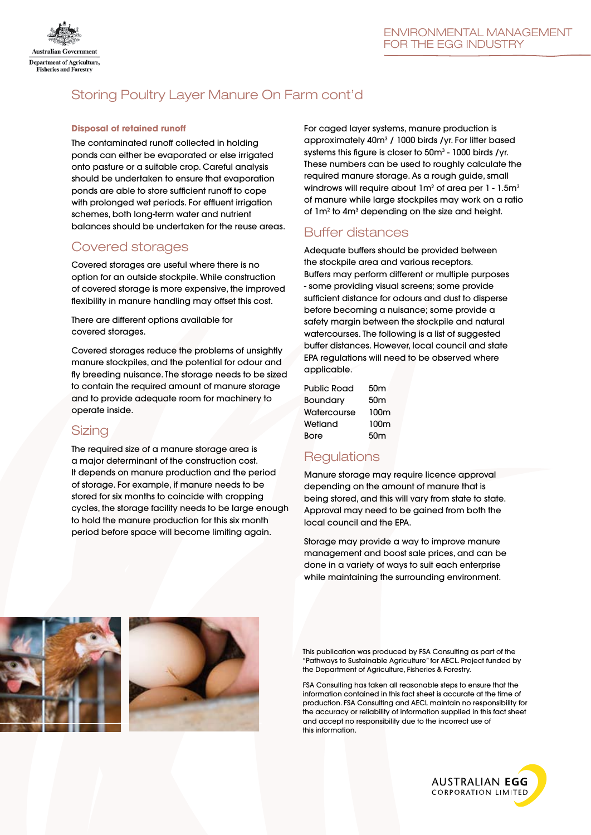

# Storing Poultry Layer Manure On Farm cont'd

#### **Disposal of retained runoff**

The contaminated runoff collected in holding ponds can either be evaporated or else irrigated onto pasture or a suitable crop. Careful analysis should be undertaken to ensure that evaporation ponds are able to store sufficient runoff to cope with prolonged wet periods. For effluent irrigation schemes, both long-term water and nutrient balances should be undertaken for the reuse areas.

## Covered storages

Covered storages are useful where there is no option for an outside stockpile. While construction of covered storage is more expensive, the improved flexibility in manure handling may offset this cost.

There are different options available for covered storages.

Covered storages reduce the problems of unsightly manure stockpiles, and the potential for odour and fly breeding nuisance. The storage needs to be sized to contain the required amount of manure storage and to provide adequate room for machinery to operate inside.

## Sizing

The required size of a manure storage area is a major determinant of the construction cost. It depends on manure production and the period of storage. For example, if manure needs to be stored for six months to coincide with cropping cycles, the storage facility needs to be large enough to hold the manure production for this six month period before space will become limiting again.

For caged layer systems, manure production is approximately 40m<sup>3</sup> / 1000 birds / yr. For litter based systems this figure is closer to  $50m<sup>3</sup>$  - 1000 birds /yr. These numbers can be used to roughly calculate the required manure storage. As a rough guide, small windrows will require about  $1m^2$  of area per  $1$  -  $1.5m^3$ of manure while large stockpiles may work on a ratio of 1m<sup>2</sup> to 4m<sup>3</sup> depending on the size and height.

# Buffer distances

Adequate buffers should be provided between the stockpile area and various receptors. Buffers may perform different or multiple purposes - some providing visual screens; some provide sufficient distance for odours and dust to disperse before becoming a nuisance; some provide a safety margin between the stockpile and natural watercourses. The following is a list of suggested buffer distances. However, local council and state EPA regulations will need to be observed where applicable.

| 50m             |
|-----------------|
| 50 <sub>m</sub> |
| 100m            |
| 100m            |
| 50 <sub>m</sub> |
|                 |

# **Regulations**

Manure storage may require licence approval depending on the amount of manure that is being stored, and this will vary from state to state. Approval may need to be gained from both the local council and the EPA.

Storage may provide a way to improve manure management and boost sale prices, and can be done in a variety of ways to suit each enterprise while maintaining the surrounding environment.





This publication was produced by FSA Consulting as part of the "Pathways to Sustainable Agriculture" for AECL. Project funded by the Department of Agriculture, Fisheries & Forestry.

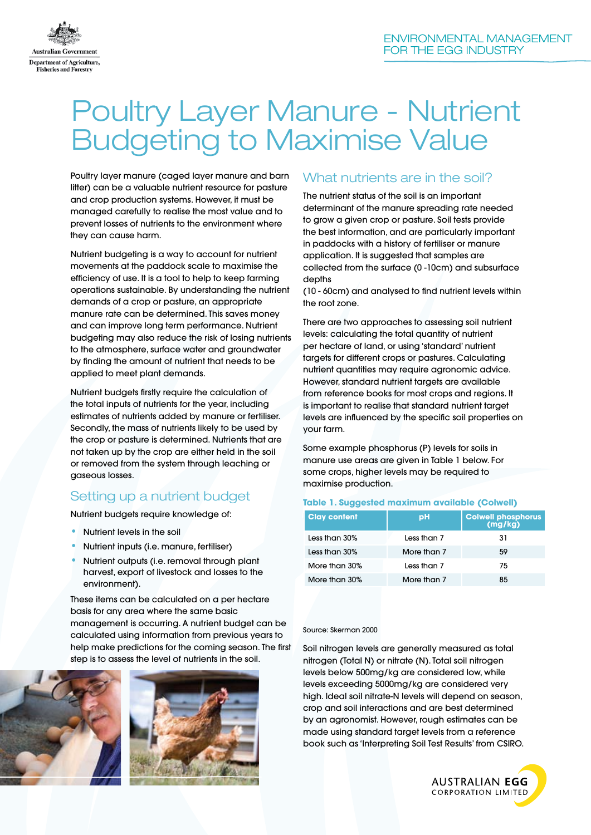

# Poultry Layer Manure - Nutrient Budgeting to Maximise Value

Poultry layer manure (caged layer manure and barn litter) can be a valuable nutrient resource for pasture and crop production systems. However, it must be managed carefully to realise the most value and to prevent losses of nutrients to the environment where they can cause harm.

Nutrient budgeting is a way to account for nutrient movements at the paddock scale to maximise the efficiency of use. It is a tool to help to keep farming operations sustainable. By understanding the nutrient demands of a crop or pasture, an appropriate manure rate can be determined. This saves money and can improve long term performance. Nutrient budgeting may also reduce the risk of losing nutrients to the atmosphere, surface water and groundwater by finding the amount of nutrient that needs to be applied to meet plant demands.

Nutrient budgets firstly require the calculation of the total inputs of nutrients for the year, including estimates of nutrients added by manure or fertiliser. Secondly, the mass of nutrients likely to be used by the crop or pasture is determined. Nutrients that are not taken up by the crop are either held in the soil or removed from the system through leaching or gaseous losses.

# Setting up a nutrient budget

Nutrient budgets require knowledge of:

- Nutrient levels in the soil
- • Nutrient inputs (i.e. manure, fertiliser)
- Nutrient outputs (i.e. removal through plant harvest, export of livestock and losses to the environment).

These items can be calculated on a per hectare basis for any area where the same basic management is occurring. A nutrient budget can be calculated using information from previous years to help make predictions for the coming season. The first step is to assess the level of nutrients in the soil.





## What nutrients are in the soil?

The nutrient status of the soil is an important determinant of the manure spreading rate needed to grow a given crop or pasture. Soil tests provide the best information, and are particularly important in paddocks with a history of fertiliser or manure application. It is suggested that samples are collected from the surface (0 -10cm) and subsurface depths

(10 - 60cm) and analysed to find nutrient levels within the root zone.

There are two approaches to assessing soil nutrient levels: calculating the total quantity of nutrient per hectare of land, or using 'standard' nutrient targets for different crops or pastures. Calculating nutrient quantities may require agronomic advice. However, standard nutrient targets are available from reference books for most crops and regions. It is important to realise that standard nutrient target levels are influenced by the specific soil properties on your farm.

Some example phosphorus (P) levels for soils in manure use areas are given in Table 1 below. For some crops, higher levels may be required to maximise production.

#### **Table 1. Suggested maximum available (Colwell)**

| <b>Clay content</b> | рH          | <b>Colwell phosphorus</b><br>(mg/kg) |
|---------------------|-------------|--------------------------------------|
| Less than 30%       | Less than 7 | 31                                   |
| Less than 30%       | More than 7 | 59                                   |
| More than 30%       | Less than 7 | 75                                   |
| More than 30%       | More than 7 | 85                                   |

#### Source: Skerman 2000

Soil nitrogen levels are generally measured as total nitrogen (Total N) or nitrate (N). Total soil nitrogen levels below 500mg/kg are considered low, while levels exceeding 5000mg/kg are considered very high. Ideal soil nitrate-N levels will depend on season, crop and soil interactions and are best determined by an agronomist. However, rough estimates can be made using standard target levels from a reference book such as 'Interpreting Soil Test Results' from CSIRO.

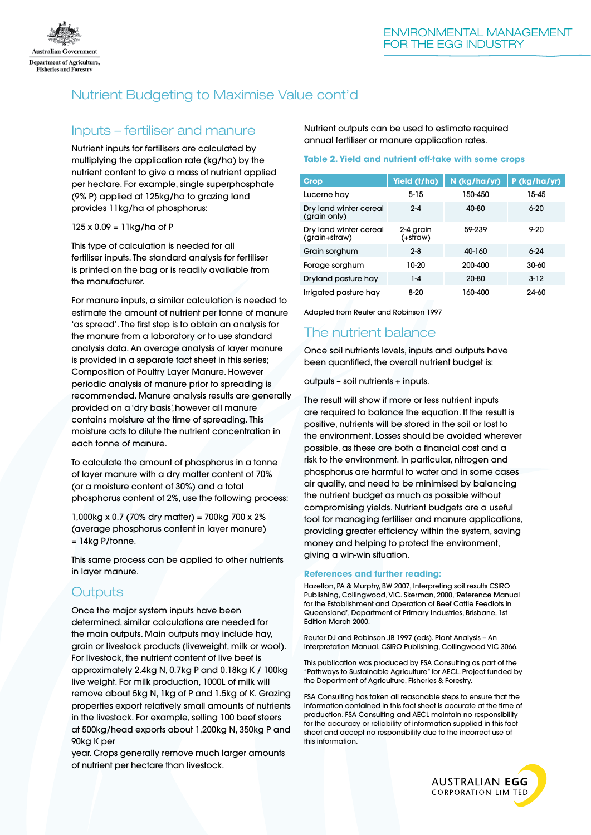

# Nutrient Budgeting to Maximise Value cont'd

## Inputs – fertiliser and manure

Nutrient inputs for fertilisers are calculated by multiplying the application rate (kg/ha) by the nutrient content to give a mass of nutrient applied per hectare. For example, single superphosphate (9% P) applied at 125kg/ha to grazing land provides 11kg/ha of phosphorus:

#### 125 x 0.09 = 11kg/ha of P

This type of calculation is needed for all fertiliser inputs. The standard analysis for fertiliser is printed on the bag or is readily available from the manufacturer.

For manure inputs, a similar calculation is needed to estimate the amount of nutrient per tonne of manure 'as spread'. The first step is to obtain an analysis for the manure from a laboratory or to use standard analysis data. An average analysis of layer manure is provided in a separate fact sheet in this series; Composition of Poultry Layer Manure. However periodic analysis of manure prior to spreading is recommended. Manure analysis results are generally provided on a 'dry basis', however all manure contains moisture at the time of spreading. This moisture acts to dilute the nutrient concentration in each tonne of manure.

To calculate the amount of phosphorus in a tonne of layer manure with a dry matter content of 70% (or a moisture content of 30%) and a total phosphorus content of 2%, use the following process:

1,000kg x 0.7 (70% dry matter) = 700kg 700 x 2% (average phosphorus content in layer manure) = 14kg P/tonne.

This same process can be applied to other nutrients in layer manure.

# **Outputs**

Once the major system inputs have been determined, similar calculations are needed for the main outputs. Main outputs may include hay, grain or livestock products (liveweight, milk or wool). For livestock, the nutrient content of live beef is approximately 2.4kg N, 0.7kg P and 0.18kg K / 100kg live weight. For milk production, 1000L of milk will remove about 5kg N, 1kg of P and 1.5kg of K. Grazing properties export relatively small amounts of nutrients in the livestock. For example, selling 100 beef steers at 500kg/head exports about 1,200kg N, 350kg P and 90kg K per

year. Crops generally remove much larger amounts of nutrient per hectare than livestock.

#### Nutrient outputs can be used to estimate required annual fertiliser or manure application rates.

#### **Table 2. Yield and nutrient off-take with some crops**

| Crop                                    | Yield (t/ha)          | N (kg/ha/yr) | P (kg/ha/yr) |
|-----------------------------------------|-----------------------|--------------|--------------|
|                                         |                       |              |              |
| Lucerne hay                             | $5 - 15$              | 150-450      | 15-45        |
| Dry land winter cereal<br>(grain only)  | $2 - 4$               | 40-80        | $6 - 20$     |
| Dry land winter cereal<br>(grain+straw) | 2-4 grain<br>(+straw) | 59-239       | $9 - 20$     |
| Grain sorghum                           | $2 - 8$               | 40-160       | $6 - 24$     |
| Forage sorghum                          | 10-20                 | 200-400      | 30-60        |
| Dryland pasture hay                     | $1-4$                 | 20-80        | $3 - 12$     |
| Irrigated pasture hay                   | $8-20$                | 160-400      | 24-60        |

Adapted from Reuter and Robinson 1997

# The nutrient balance

Once soil nutrients levels, inputs and outputs have been quantified, the overall nutrient budget is:

outputs – soil nutrients + inputs.

The result will show if more or less nutrient inputs are required to balance the equation. If the result is positive, nutrients will be stored in the soil or lost to the environment. Losses should be avoided wherever possible, as these are both a financial cost and a risk to the environment. In particular, nitrogen and phosphorus are harmful to water and in some cases air quality, and need to be minimised by balancing the nutrient budget as much as possible without compromising yields. Nutrient budgets are a useful tool for managing fertiliser and manure applications, providing greater efficiency within the system, saving money and helping to protect the environment, giving a win-win situation.

#### **References and further reading:**

Hazelton, PA & Murphy, BW 2007, Interpreting soil results CSIRO Publishing, Collingwood, VIC. Skerman, 2000, 'Reference Manual for the Establishment and Operation of Beef Cattle Feedlots in Queensland', Department of Primary Industries, Brisbane, 1st Edition March 2000.

Reuter DJ and Robinson JB 1997 (eds). Plant Analysis – An Interpretation Manual. CSIRO Publishing, Collingwood VIC 3066.

This publication was produced by FSA Consulting as part of the "Pathways to Sustainable Agriculture" for AECL. Project funded by the Department of Agriculture, Fisheries & Forestry.

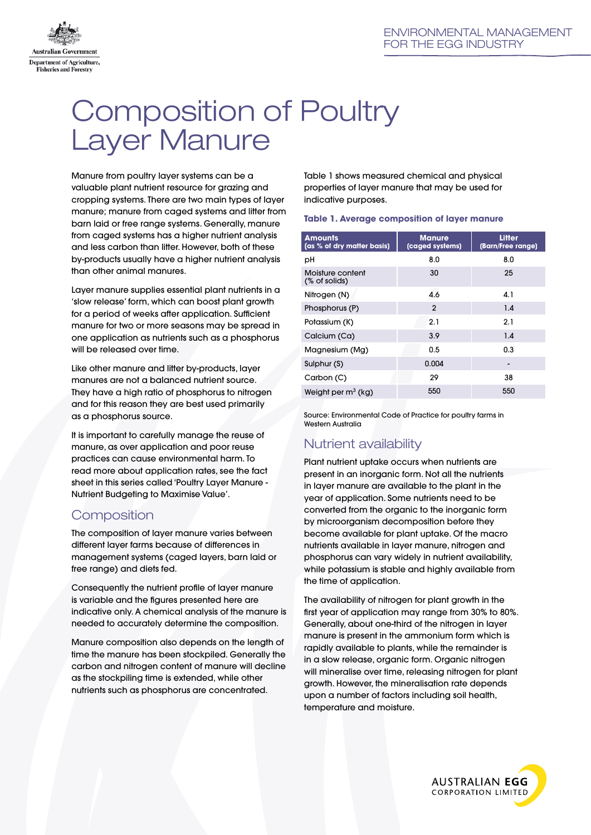

# Composition of Poultry Layer Manure

Manure from poultry layer systems can be a valuable plant nutrient resource for grazing and cropping systems. There are two main types of layer manure; manure from caged systems and litter from barn laid or free range systems. Generally, manure from caged systems has a higher nutrient analysis and less carbon than litter. However, both of these by-products usually have a higher nutrient analysis than other animal manures.

Layer manure supplies essential plant nutrients in a 'slow release' form, which can boost plant growth for a period of weeks after application. Sufficient manure for two or more seasons may be spread in one application as nutrients such as a phosphorus will be released over time.

Like other manure and litter by-products, layer manures are not a balanced nutrient source. They have a high ratio of phosphorus to nitrogen and for this reason they are best used primarily as a phosphorus source.

It is important to carefully manage the reuse of manure, as over application and poor reuse practices can cause environmental harm. To read more about application rates, see the fact sheet in this series called 'Poultry Layer Manure - Nutrient Budgeting to Maximise Value'.

# **Composition**

The composition of layer manure varies between different layer farms because of differences in management systems (caged layers, barn laid or free range) and diets fed.

Consequently the nutrient profile of layer manure is variable and the figures presented here are indicative only. A chemical analysis of the manure is needed to accurately determine the composition.

Manure composition also depends on the length of time the manure has been stockpiled. Generally the carbon and nitrogen content of manure will decline as the stockpiling time is extended, while other nutrients such as phosphorus are concentrated.

Table 1 shows measured chemical and physical properties of layer manure that may be used for indicative purposes.

#### **Table 1. Average composition of layer manure**

| <b>Amounts</b><br>(as % of dry matter basis) | <b>Manure</b><br>(caged systems) | <b>Litter</b><br>(Barn/Free range) |
|----------------------------------------------|----------------------------------|------------------------------------|
| рH                                           | 8.0                              | 8.0                                |
| Moisture content<br>(% of solids)            | 30                               | 25                                 |
| Nitrogen (N)                                 | 4.6                              | 4.1                                |
| Phosphorus (P)                               | $\mathbf{2}$                     | 1.4                                |
| Potassium (K)                                | 2.1                              | 2.1                                |
| Calcium (Ca)                                 | 3.9                              | 1.4                                |
| Magnesium (Mg)                               | 0.5                              | 0.3                                |
| Sulphur (S)                                  | 0.004                            |                                    |
| Carbon (C)                                   | 29                               | 38                                 |
| Weight per $m^3$ (kg)                        | 550                              | 550                                |

Source: Environmental Code of Practice for poultry farms in Western Australia

# Nutrient availability

Plant nutrient uptake occurs when nutrients are present in an inorganic form. Not all the nutrients in layer manure are available to the plant in the year of application. Some nutrients need to be converted from the organic to the inorganic form by microorganism decomposition before they become available for plant uptake. Of the macro nutrients available in layer manure, nitrogen and phosphorus can vary widely in nutrient availability, while potassium is stable and highly available from the time of application.

The availability of nitrogen for plant growth in the first year of application may range from 30% to 80%. Generally, about one-third of the nitrogen in layer manure is present in the ammonium form which is rapidly available to plants, while the remainder is in a slow release, organic form. Organic nitrogen will mineralise over time, releasing nitrogen for plant growth. However, the mineralisation rate depends upon a number of factors including soil health, temperature and moisture.

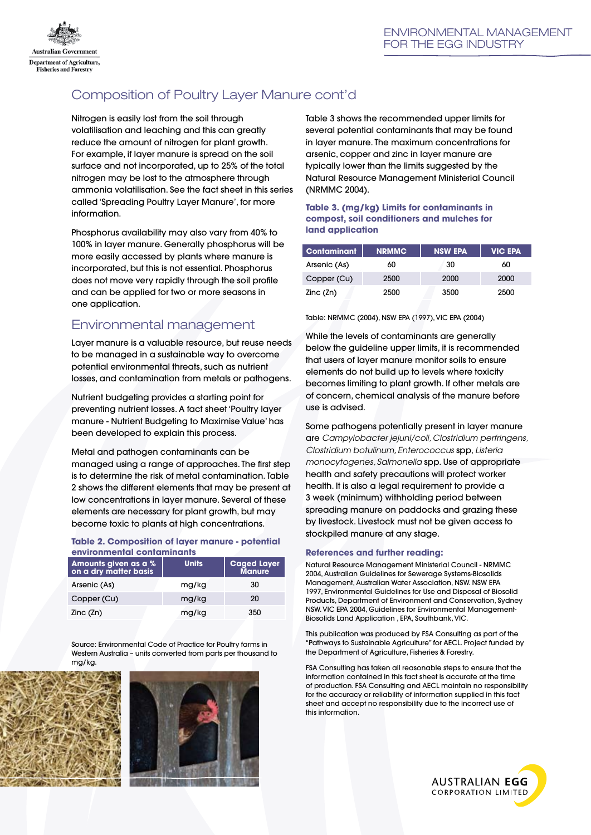

# Composition of Poultry Layer Manure cont'd

Nitrogen is easily lost from the soil through volatilisation and leaching and this can greatly reduce the amount of nitrogen for plant growth. For example, if layer manure is spread on the soil surface and not incorporated, up to 25% of the total nitrogen may be lost to the atmosphere through ammonia volatilisation. See the fact sheet in this series called 'Spreading Poultry Layer Manure', for more information.

Phosphorus availability may also vary from 40% to 100% in layer manure. Generally phosphorus will be more easily accessed by plants where manure is incorporated, but this is not essential. Phosphorus does not move very rapidly through the soil profile and can be applied for two or more seasons in one application.

# Environmental management

Layer manure is a valuable resource, but reuse needs to be managed in a sustainable way to overcome potential environmental threats, such as nutrient losses, and contamination from metals or pathogens.

Nutrient budgeting provides a starting point for preventing nutrient losses. A fact sheet 'Poultry layer manure - Nutrient Budgeting to Maximise Value' has been developed to explain this process.

Metal and pathogen contaminants can be managed using a range of approaches. The first step is to determine the risk of metal contamination. Table 2 shows the different elements that may be present at low concentrations in layer manure. Several of these elements are necessary for plant growth, but may become toxic to plants at high concentrations.

#### **Table 2. Composition of layer manure - potential environmental contaminants**

| Amounts given as a %<br>on a dry matter basis | <b>Units</b> | <b>Caged Layer</b><br>Manure |
|-----------------------------------------------|--------------|------------------------------|
| Arsenic (As)                                  | mg/kg        | 30                           |
| Copper (Cu)                                   | mg/kg        | 20                           |
| Zinc (Zn)                                     | mg/kg        | 350                          |

Source: Environmental Code of Practice for Poultry farms in Western Australia – units converted from parts per thousand to mg/kg.





Table 3 shows the recommended upper limits for several potential contaminants that may be found in layer manure. The maximum concentrations for arsenic, copper and zinc in layer manure are typically lower than the limits suggested by the Natural Resource Management Ministerial Council (NRMMC 2004).

#### **Table 3. (mg/kg) Limits for contaminants in compost, soil conditioners and mulches for land application**

| <b>Contaminant</b> | <b>NRMMC</b> | <b>NSW EPA</b> | <b>VIC EPA</b> |
|--------------------|--------------|----------------|----------------|
| Arsenic (As)       | 60           | 30             | 60             |
| Copper (Cu)        | 2500         | 2000           | 2000           |
| Zinc (Zn)          | 2500         | 3500           | 2500           |

Table: NRMMC (2004), NSW EPA (1997), VIC EPA (2004)

While the levels of contaminants are generally below the guideline upper limits, it is recommended that users of layer manure monitor soils to ensure elements do not build up to levels where toxicity becomes limiting to plant growth. If other metals are of concern, chemical analysis of the manure before use is advised.

Some pathogens potentially present in layer manure are *Campylobacter jejuni/coli, Clostridium perfringens, Clostridium botulinum, Enterococcus* spp, *Listeria monocytogenes, Salmonella* spp. Use of appropriate health and safety precautions will protect worker health. It is also a legal requirement to provide a 3 week (minimum) withholding period between spreading manure on paddocks and grazing these by livestock. Livestock must not be given access to stockpiled manure at any stage.

#### **References and further reading:**

Natural Resource Management Ministerial Council - NRMMC 2004, Australian Guidelines for Sewerage Systems-Biosolids Management, Australian Water Association, NSW. NSW EPA 1997, Environmental Guidelines for Use and Disposal of Biosolid Products, Department of Environment and Conservation, Sydney NSW. VIC EPA 2004, Guidelines for Environmental Management-Biosolids Land Application , EPA, Southbank, VIC.

This publication was produced by FSA Consulting as part of the "Pathways to Sustainable Agriculture" for AECL. Project funded by the Department of Agriculture, Fisheries & Forestry.

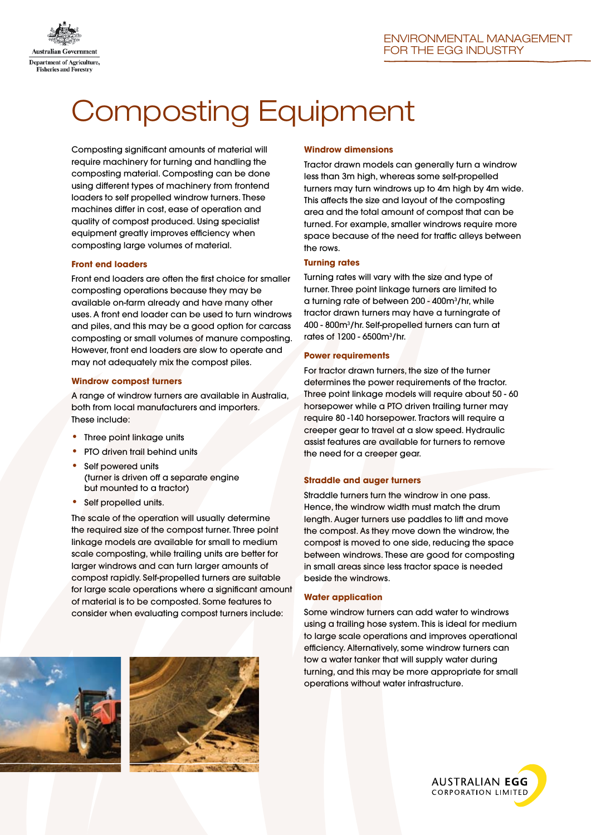

# Composting Equipment

Composting significant amounts of material will require machinery for turning and handling the composting material. Composting can be done using different types of machinery from frontend loaders to self propelled windrow turners. These machines differ in cost, ease of operation and quality of compost produced. Using specialist equipment greatly improves efficiency when composting large volumes of material.

#### **Front end loaders**

Front end loaders are often the first choice for smaller composting operations because they may be available on-farm already and have many other uses. A front end loader can be used to turn windrows and piles, and this may be a good option for carcass composting or small volumes of manure composting. However, front end loaders are slow to operate and may not adequately mix the compost piles.

#### **Windrow compost turners**

A range of windrow turners are available in Australia, both from local manufacturers and importers. These include:

- Three point linkage units
- PTO driven trail behind units
- Self powered units (turner is driven off a separate engine but mounted to a tractor)
- Self propelled units.

The scale of the operation will usually determine the required size of the compost turner. Three point linkage models are available for small to medium scale composting, while trailing units are better for larger windrows and can turn larger amounts of compost rapidly. Self-propelled turners are suitable for large scale operations where a significant amount of material is to be composted. Some features to consider when evaluating compost turners include:





#### **Windrow dimensions**

Tractor drawn models can generally turn a windrow less than 3m high, whereas some self-propelled turners may turn windrows up to 4m high by 4m wide. This affects the size and layout of the composting area and the total amount of compost that can be turned. For example, smaller windrows require more space because of the need for traffic alleys between the rows.

#### **Turning rates**

Turning rates will vary with the size and type of turner. Three point linkage turners are limited to a turning rate of between 200 - 400m3 /hr, while tractor drawn turners may have a turningrate of 400 - 800m3 /hr. Self-propelled turners can turn at rates of 1200 - 6500m3 /hr.

#### **Power requirements**

For tractor drawn turners, the size of the turner determines the power requirements of the tractor. Three point linkage models will require about 50 - 60 horsepower while a PTO driven trailing turner may require 80 -140 horsepower. Tractors will require a creeper gear to travel at a slow speed. Hydraulic assist features are available for turners to remove the need for a creeper gear.

#### **Straddle and auger turners**

Straddle turners turn the windrow in one pass. Hence, the windrow width must match the drum length. Auger turners use paddles to lift and move the compost. As they move down the windrow, the compost is moved to one side, reducing the space between windrows. These are good for composting in small areas since less tractor space is needed beside the windrows.

#### **Water application**

Some windrow turners can add water to windrows using a trailing hose system. This is ideal for medium to large scale operations and improves operational efficiency. Alternatively, some windrow turners can tow a water tanker that will supply water during turning, and this may be more appropriate for small operations without water infrastructure.

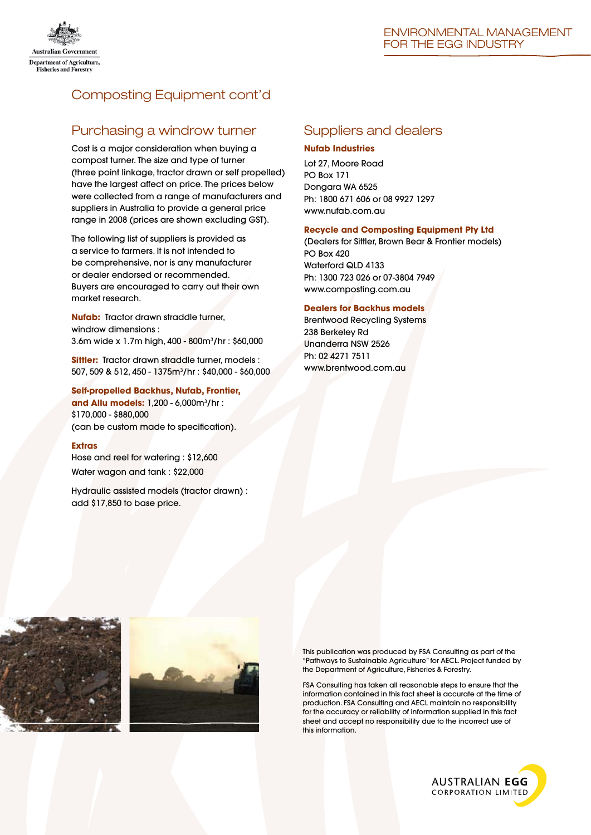

# Composting Equipment cont'd

## Purchasing a windrow turner

Cost is a major consideration when buying a compost turner. The size and type of turner (three point linkage, tractor drawn or self propelled) have the largest affect on price. The prices below were collected from a range of manufacturers and suppliers in Australia to provide a general price range in 2008 (prices are shown excluding GST).

The following list of suppliers is provided as a service to farmers. It is not intended to be comprehensive, nor is any manufacturer or dealer endorsed or recommended. Buyers are encouraged to carry out their own market research.

**Nufab:** Tractor drawn straddle turner, windrow dimensions : 3.6m wide x 1.7m high, 400 - 800m3 /hr : \$60,000

**Sittler:** Tractor drawn straddle turner, models : 507, 509 & 512, 450 - 1375m3 /hr : \$40,000 - \$60,000

**Self-propelled Backhus, Nufab, Frontier, and Allu models:** 1,200 - 6,000m3 /hr : \$170,000 - \$880,000 (can be custom made to specification).

#### **Extras**

Hose and reel for watering : \$12,600 Water wagon and tank : \$22,000

Hydraulic assisted models (tractor drawn) : add \$17,850 to base price.

## Suppliers and dealers

#### **Nufab Industries**

Lot 27, Moore Road PO Box 171 Dongara WA 6525 Ph: 1800 671 606 or 08 9927 1297 www.nufab.com.au

#### **Recycle and Composting Equipment Pty Ltd**

(Dealers for Sittler, Brown Bear & Frontier models) PO Box 420 Waterford QLD 4133 Ph: 1300 723 026 or 07-3804 7949 www.composting.com.au

#### **Dealers for Backhus models**

Brentwood Recycling Systems 238 Berkeley Rd Unanderra NSW 2526 Ph: 02 4271 7511 www.brentwood.com.au





This publication was produced by FSA Consulting as part of the "Pathways to Sustainable Agriculture" for AECL. Project funded by the Department of Agriculture, Fisheries & Forestry.

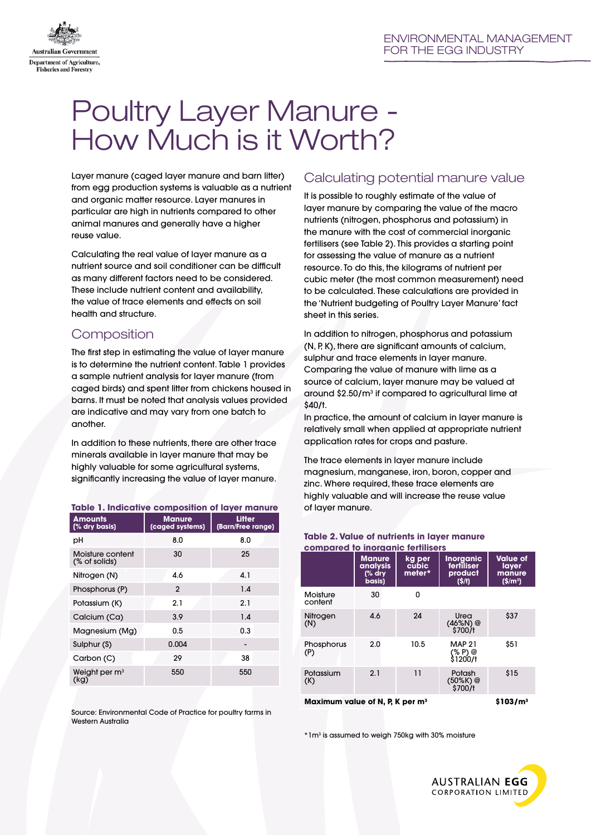

# Poultry Layer Manure - How Much is it Worth?

Layer manure (caged layer manure and barn litter) from egg production systems is valuable as a nutrient and organic matter resource. Layer manures in particular are high in nutrients compared to other animal manures and generally have a higher reuse value.

Calculating the real value of layer manure as a nutrient source and soil conditioner can be difficult as many different factors need to be considered. These include nutrient content and availability, the value of trace elements and effects on soil health and structure.

# **Composition**

The first step in estimating the value of layer manure is to determine the nutrient content. Table 1 provides a sample nutrient analysis for layer manure (from caged birds) and spent litter from chickens housed in barns. It must be noted that analysis values provided are indicative and may vary from one batch to another.

In addition to these nutrients, there are other trace minerals available in layer manure that may be highly valuable for some agricultural systems, significantly increasing the value of layer manure.

| Table 1. Indicative composition of layer manure |                                  |                             |  |  |  |  |
|-------------------------------------------------|----------------------------------|-----------------------------|--|--|--|--|
| <b>Amounts</b><br>(% dry basis)                 | <b>Manure</b><br>(caged systems) | Litter<br>(Barn/Free range) |  |  |  |  |
| рH                                              | 8.0                              | 8.0                         |  |  |  |  |
| Moisture content<br>(% of solids)               | 30                               | 25                          |  |  |  |  |
| Nitrogen (N)                                    | 4.6                              | 4.1                         |  |  |  |  |
| Phosphorus (P)                                  | $\mathfrak{p}$                   | 1.4                         |  |  |  |  |
| Potassium (K)                                   | 2.1                              | 2.1                         |  |  |  |  |
| Calcium (Ca)                                    | 3.9                              | 1.4                         |  |  |  |  |
| Magnesium (Mg)                                  | $0.5\,$                          | 0.3                         |  |  |  |  |
| Sulphur (S)                                     | 0.004                            |                             |  |  |  |  |
| Carbon (C)                                      | 29                               | 38                          |  |  |  |  |
| Weight per $m3$<br>(kg)                         | 550                              | 550                         |  |  |  |  |
|                                                 |                                  |                             |  |  |  |  |

Source: Environmental Code of Practice for poultry farms in Western Australia

# Calculating potential manure value

It is possible to roughly estimate of the value of layer manure by comparing the value of the macro nutrients (nitrogen, phosphorus and potassium) in the manure with the cost of commercial inorganic fertilisers (see Table 2). This provides a starting point for assessing the value of manure as a nutrient resource. To do this, the kilograms of nutrient per cubic meter (the most common measurement) need to be calculated. These calculations are provided in the 'Nutrient budgeting of Poultry Layer Manure' fact sheet in this series.

In addition to nitrogen, phosphorus and potassium (N, P, K), there are significant amounts of calcium, sulphur and trace elements in layer manure. Comparing the value of manure with lime as a source of calcium, layer manure may be valued at around \$2.50/m3 if compared to agricultural lime at \$40/t.

In practice, the amount of calcium in layer manure is relatively small when applied at appropriate nutrient application rates for crops and pasture.

The trace elements in layer manure include magnesium, manganese, iron, boron, copper and zinc. Where required, these trace elements are highly valuable and will increase the reuse value of layer manure.

| compared to inorganic fertilisers                                   |                                                          |                           |                                                    |                                                 |  |  |  |
|---------------------------------------------------------------------|----------------------------------------------------------|---------------------------|----------------------------------------------------|-------------------------------------------------|--|--|--|
|                                                                     | Manure<br><b>analysis</b><br>$\frac{1}{2}$ dry<br>basis) | ka per<br>cubic<br>meter* | <b>Inorganic</b><br>fertiliser<br>product<br>(S/t) | <b>Value of</b><br>layer<br>manure<br>$(S/m^3)$ |  |  |  |
| Moisture<br>content                                                 | 30                                                       | O                         |                                                    |                                                 |  |  |  |
| Nitrogen<br>(N)                                                     | 4.6                                                      | 24                        | Urea<br>(46%N) @<br>\$700/t                        | \$37                                            |  |  |  |
| Phosphorus<br>(P)                                                   | 2.0                                                      | 10.5                      | <b>MAP 21</b><br>(% P) @<br>\$1200/†               | \$51                                            |  |  |  |
| Potassium<br>(K)                                                    | 2.1                                                      | 11                        | Potash<br>(50%K)@<br>\$700/t                       | \$15                                            |  |  |  |
| Maximum value of N, P, K per m <sup>3</sup><br>\$103/m <sup>3</sup> |                                                          |                           |                                                    |                                                 |  |  |  |

# **Table 2. Value of nutrients in layer manure**

\*1m3 is assumed to weigh 750kg with 30% moisture

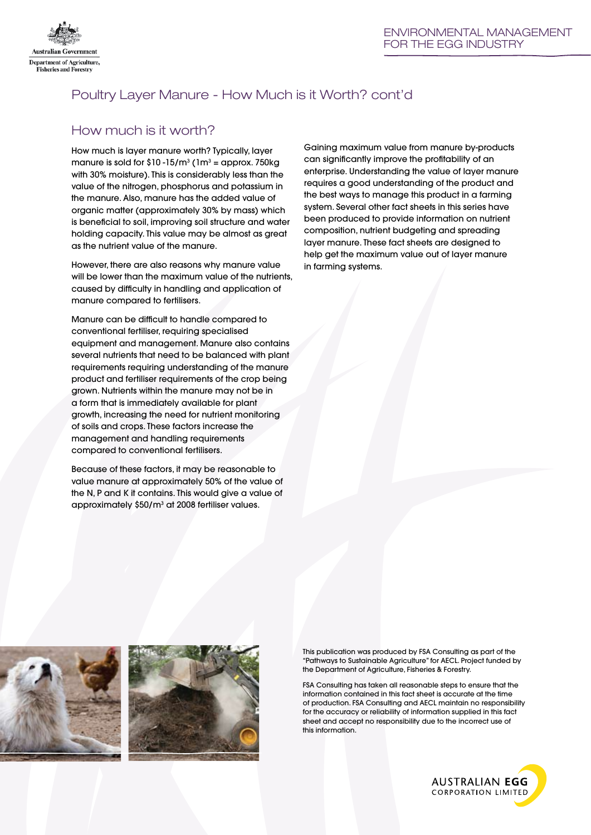

# Poultry Layer Manure - How Much is it Worth? cont'd

# How much is it worth?

How much is layer manure worth? Typically, layer manure is sold for \$10 -15/m<sup>3</sup> ( $1m<sup>3</sup>$  = approx. 750kg with 30% moisture). This is considerably less than the value of the nitrogen, phosphorus and potassium in the manure. Also, manure has the added value of organic matter (approximately 30% by mass) which is beneficial to soil, improving soil structure and water holding capacity. This value may be almost as great as the nutrient value of the manure.

However, there are also reasons why manure value will be lower than the maximum value of the nutrients, caused by difficulty in handling and application of manure compared to fertilisers.

Manure can be difficult to handle compared to conventional fertiliser, requiring specialised equipment and management. Manure also contains several nutrients that need to be balanced with plant requirements requiring understanding of the manure product and fertiliser requirements of the crop being grown. Nutrients within the manure may not be in a form that is immediately available for plant growth, increasing the need for nutrient monitoring of soils and crops. These factors increase the management and handling requirements compared to conventional fertilisers.

Because of these factors, it may be reasonable to value manure at approximately 50% of the value of the N, P and K it contains. This would give a value of approximately \$50/m<sup>3</sup> at 2008 fertiliser values.

Gaining maximum value from manure by-products can significantly improve the profitability of an enterprise. Understanding the value of layer manure requires a good understanding of the product and the best ways to manage this product in a farming system. Several other fact sheets in this series have been produced to provide information on nutrient composition, nutrient budgeting and spreading layer manure. These fact sheets are designed to help get the maximum value out of layer manure in farming systems.





This publication was produced by FSA Consulting as part of the "Pathways to Sustainable Agriculture" for AECL. Project funded by the Department of Agriculture, Fisheries & Forestry.

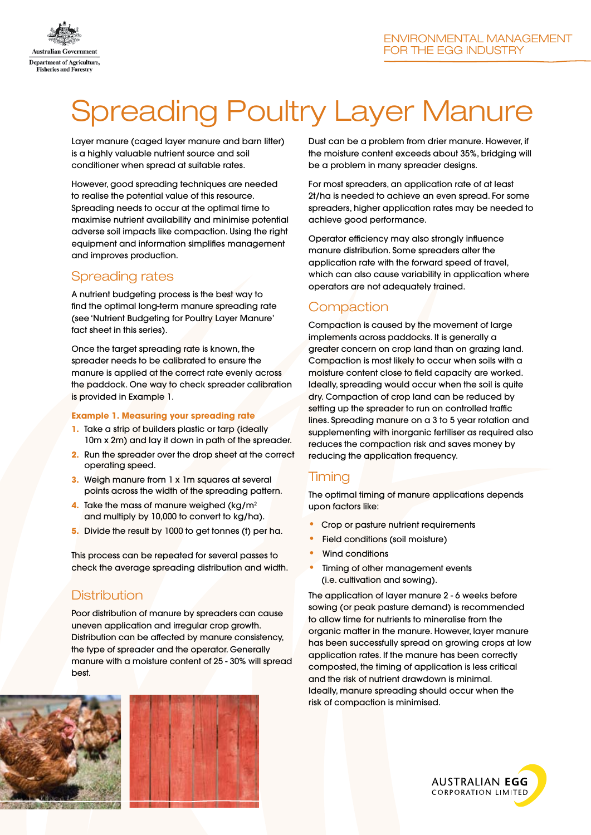

# Spreading Poultry Layer Manure

Layer manure (caged layer manure and barn litter) is a highly valuable nutrient source and soil conditioner when spread at suitable rates.

However, good spreading techniques are needed to realise the potential value of this resource. Spreading needs to occur at the optimal time to maximise nutrient availability and minimise potential adverse soil impacts like compaction. Using the right equipment and information simplifies management and improves production.

## Spreading rates

A nutrient budgeting process is the best way to find the optimal long-term manure spreading rate (see 'Nutrient Budgeting for Poultry Layer Manure' fact sheet in this series).

Once the target spreading rate is known, the spreader needs to be calibrated to ensure the manure is applied at the correct rate evenly across the paddock. One way to check spreader calibration is provided in Example 1.

#### **Example 1. Measuring your spreading rate**

- **1.** Take a strip of builders plastic or tarp (ideally 10m x 2m) and lay it down in path of the spreader.
- **2.** Run the spreader over the drop sheet at the correct operating speed.
- **3.** Weigh manure from 1 x 1m squares at several points across the width of the spreading pattern.
- **4.** Take the mass of manure weighed (kg/m<sup>2</sup>) and multiply by 10,000 to convert to kg/ha).
- **5.** Divide the result by 1000 to get tonnes (t) per ha.

This process can be repeated for several passes to check the average spreading distribution and width.

# Distribution

Poor distribution of manure by spreaders can cause uneven application and irregular crop growth. Distribution can be affected by manure consistency, the type of spreader and the operator. Generally manure with a moisture content of 25 - 30% will spread best.





Dust can be a problem from drier manure. However, if the moisture content exceeds about 35%, bridging will be a problem in many spreader designs.

For most spreaders, an application rate of at least 2t/ha is needed to achieve an even spread. For some spreaders, higher application rates may be needed to achieve good performance.

Operator efficiency may also strongly influence manure distribution. Some spreaders alter the application rate with the forward speed of travel, which can also cause variability in application where operators are not adequately trained.

# **Compaction**

Compaction is caused by the movement of large implements across paddocks. It is generally a greater concern on crop land than on grazing land. Compaction is most likely to occur when soils with a moisture content close to field capacity are worked. Ideally, spreading would occur when the soil is quite dry. Compaction of crop land can be reduced by setting up the spreader to run on controlled traffic lines. Spreading manure on a 3 to 5 year rotation and supplementing with inorganic fertiliser as required also reduces the compaction risk and saves money by reducing the application frequency.

# **Timina**

The optimal timing of manure applications depends upon factors like:

- Crop or pasture nutrient requirements
- Field conditions (soil moisture)
- **Wind conditions**
- Timing of other management events (i.e. cultivation and sowing).

The application of layer manure 2 - 6 weeks before sowing (or peak pasture demand) is recommended to allow time for nutrients to mineralise from the organic matter in the manure. However, layer manure has been successfully spread on growing crops at low application rates. If the manure has been correctly composted, the timing of application is less critical and the risk of nutrient drawdown is minimal. Ideally, manure spreading should occur when the risk of compaction is minimised.

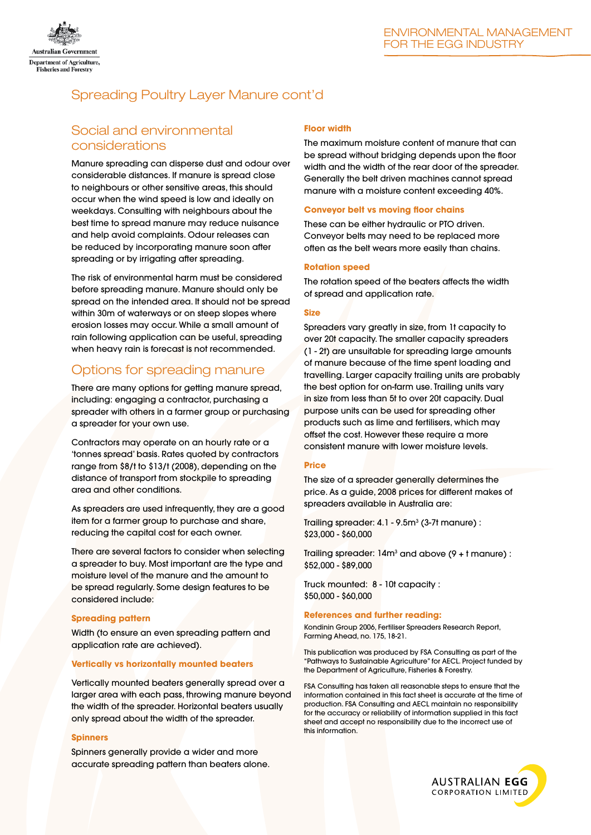

# Spreading Poultry Layer Manure cont'd

## Social and environmental considerations

Manure spreading can disperse dust and odour over considerable distances. If manure is spread close to neighbours or other sensitive areas, this should occur when the wind speed is low and ideally on weekdays. Consulting with neighbours about the best time to spread manure may reduce nuisance and help avoid complaints. Odour releases can be reduced by incorporating manure soon after spreading or by irrigating after spreading.

The risk of environmental harm must be considered before spreading manure. Manure should only be spread on the intended area. It should not be spread within 30m of waterways or on steep slopes where erosion losses may occur. While a small amount of rain following application can be useful, spreading when heavy rain is forecast is not recommended.

# Options for spreading manure

There are many options for getting manure spread, including: engaging a contractor, purchasing a spreader with others in a farmer group or purchasing a spreader for your own use.

Contractors may operate on an hourly rate or a 'tonnes spread' basis. Rates quoted by contractors range from \$8/t to \$13/t (2008), depending on the distance of transport from stockpile to spreading area and other conditions.

As spreaders are used infrequently, they are a good item for a farmer group to purchase and share, reducing the capital cost for each owner.

There are several factors to consider when selecting a spreader to buy. Most important are the type and moisture level of the manure and the amount to be spread regularly. Some design features to be considered include:

#### **Spreading pattern**

Width (to ensure an even spreading pattern and application rate are achieved).

#### **Vertically vs horizontally mounted beaters**

Vertically mounted beaters generally spread over a larger area with each pass, throwing manure beyond the width of the spreader. Horizontal beaters usually only spread about the width of the spreader.

#### **Spinners**

Spinners generally provide a wider and more accurate spreading pattern than beaters alone.

#### **Floor width**

The maximum moisture content of manure that can be spread without bridging depends upon the floor width and the width of the rear door of the spreader. Generally the belt driven machines cannot spread manure with a moisture content exceeding 40%.

#### **Conveyor belt vs moving floor chains**

These can be either hydraulic or PTO driven. Conveyor belts may need to be replaced more often as the belt wears more easily than chains.

#### **Rotation speed**

The rotation speed of the beaters affects the width of spread and application rate.

#### **Size**

Spreaders vary greatly in size, from 1t capacity to over 20t capacity. The smaller capacity spreaders (1 - 2t) are unsuitable for spreading large amounts of manure because of the time spent loading and travelling. Larger capacity trailing units are probably the best option for on-farm use. Trailing units vary in size from less than 5t to over 20t capacity. Dual purpose units can be used for spreading other products such as lime and fertilisers, which may offset the cost. However these require a more consistent manure with lower moisture levels.

#### **Price**

The size of a spreader generally determines the price. As a guide, 2008 prices for different makes of spreaders available in Australia are:

Trailing spreader: 4.1 - 9.5m<sup>3</sup> (3-7t manure) : \$23,000 - \$60,000

Trailing spreader:  $14m<sup>3</sup>$  and above (9 +  $t$  manure) : \$52,000 - \$89,000

Truck mounted: 8 - 10t capacity : \$50,000 - \$60,000

#### **References and further reading:**

Kondinin Group 2006, Fertiliser Spreaders Research Report, Farming Ahead, no. 175, 18-21.

This publication was produced by FSA Consulting as part of the "Pathways to Sustainable Agriculture" for AECL. Project funded by the Department of Agriculture, Fisheries & Forestry.

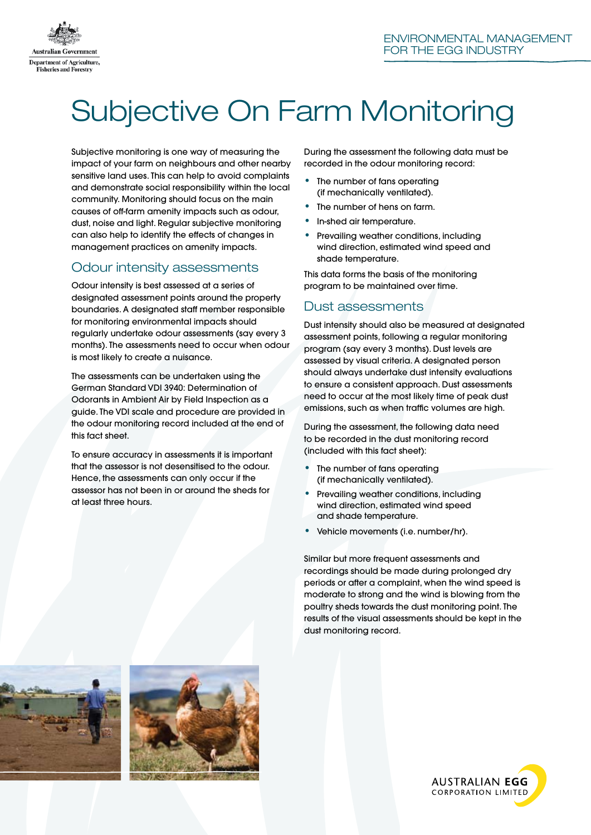

# Subjective On Farm Monitoring

Subjective monitoring is one way of measuring the impact of your farm on neighbours and other nearby sensitive land uses. This can help to avoid complaints and demonstrate social responsibility within the local community. Monitoring should focus on the main causes of off-farm amenity impacts such as odour, dust, noise and light. Regular subjective monitoring can also help to identify the effects of changes in management practices on amenity impacts.

# Odour intensity assessments

Odour intensity is best assessed at a series of designated assessment points around the property boundaries. A designated staff member responsible for monitoring environmental impacts should regularly undertake odour assessments (say every 3 months). The assessments need to occur when odour is most likely to create a nuisance.

The assessments can be undertaken using the German Standard VDI 3940: Determination of Odorants in Ambient Air by Field Inspection as a guide. The VDI scale and procedure are provided in the odour monitoring record included at the end of this fact sheet.

To ensure accuracy in assessments it is important that the assessor is not desensitised to the odour. Hence, the assessments can only occur if the assessor has not been in or around the sheds for at least three hours.

During the assessment the following data must be recorded in the odour monitoring record:

- The number of fans operating (if mechanically ventilated).
- The number of hens on farm.
- In-shed air temperature.
- Prevailing weather conditions, including wind direction, estimated wind speed and shade temperature.

This data forms the basis of the monitoring program to be maintained over time.

# Dust assessments

Dust intensity should also be measured at designated assessment points, following a regular monitoring program (say every 3 months). Dust levels are assessed by visual criteria. A designated person should always undertake dust intensity evaluations to ensure a consistent approach. Dust assessments need to occur at the most likely time of peak dust emissions, such as when traffic volumes are high.

During the assessment, the following data need to be recorded in the dust monitoring record (included with this fact sheet):

- The number of fans operating (if mechanically ventilated).
- Prevailing weather conditions, including wind direction, estimated wind speed and shade temperature.
- Vehicle movements (i.e. number/hr).

Similar but more frequent assessments and recordings should be made during prolonged dry periods or after a complaint, when the wind speed is moderate to strong and the wind is blowing from the poultry sheds towards the dust monitoring point. The results of the visual assessments should be kept in the dust monitoring record.





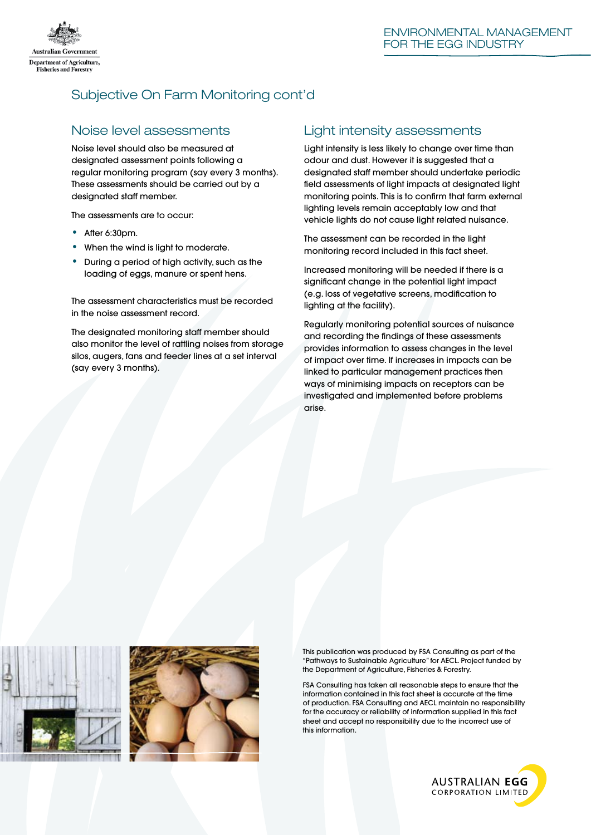

# Subjective On Farm Monitoring cont'd

## Noise level assessments

Noise level should also be measured at designated assessment points following a regular monitoring program (say every 3 months). These assessments should be carried out by a designated staff member.

The assessments are to occur:

- After 6:30pm.
- When the wind is light to moderate.
- During a period of high activity, such as the loading of eggs, manure or spent hens.

The assessment characteristics must be recorded in the noise assessment record.

The designated monitoring staff member should also monitor the level of rattling noises from storage silos, augers, fans and feeder lines at a set interval (say every 3 months).

### Light intensity assessments

Light intensity is less likely to change over time than odour and dust. However it is suggested that a designated staff member should undertake periodic field assessments of light impacts at designated light monitoring points. This is to confirm that farm external lighting levels remain acceptably low and that vehicle lights do not cause light related nuisance.

The assessment can be recorded in the light monitoring record included in this fact sheet.

Increased monitoring will be needed if there is a significant change in the potential light impact (e.g. loss of vegetative screens, modification to lighting at the facility).

Regularly monitoring potential sources of nuisance and recording the findings of these assessments provides information to assess changes in the level of impact over time. If increases in impacts can be linked to particular management practices then ways of minimising impacts on receptors can be investigated and implemented before problems arise.





This publication was produced by FSA Consulting as part of the "Pathways to Sustainable Agriculture" for AECL. Project funded by the Department of Agriculture, Fisheries & Forestry.

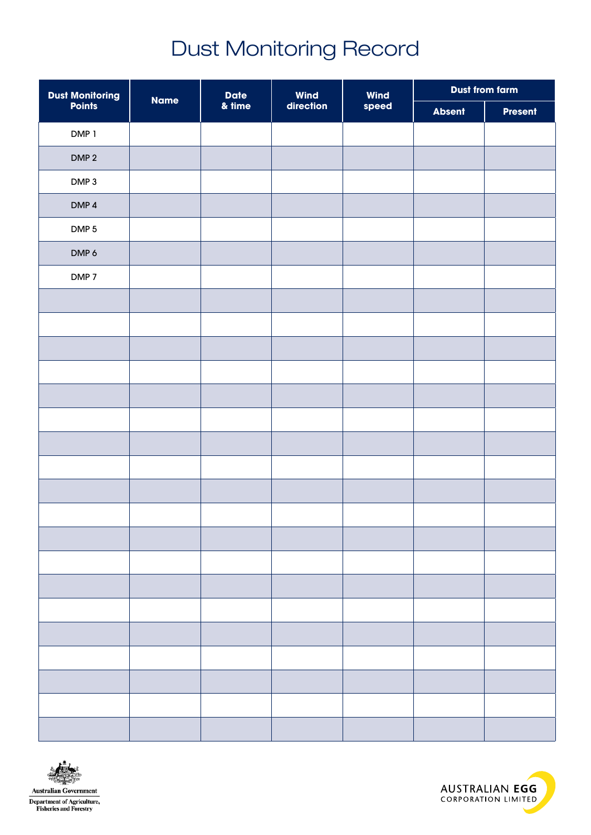# Dust Monitoring Record

| <b>Dust Monitoring<br/>Points</b> | <b>Name</b> | <b>Date</b>        | <b>Wind</b> | <b>Wind</b> | <b>Dust from farm</b> |                |
|-----------------------------------|-------------|--------------------|-------------|-------------|-----------------------|----------------|
|                                   |             | $\frac{a}{m}$ time | direction   | speed       | <b>Absent</b>         | <b>Present</b> |
| DMP 1                             |             |                    |             |             |                       |                |
| DMP <sub>2</sub>                  |             |                    |             |             |                       |                |
| DMP <sub>3</sub>                  |             |                    |             |             |                       |                |
| DMP <sub>4</sub>                  |             |                    |             |             |                       |                |
| DMP <sub>5</sub>                  |             |                    |             |             |                       |                |
| DMP 6                             |             |                    |             |             |                       |                |
| DMP <sub>7</sub>                  |             |                    |             |             |                       |                |
|                                   |             |                    |             |             |                       |                |
|                                   |             |                    |             |             |                       |                |
|                                   |             |                    |             |             |                       |                |
|                                   |             |                    |             |             |                       |                |
|                                   |             |                    |             |             |                       |                |
|                                   |             |                    |             |             |                       |                |
|                                   |             |                    |             |             |                       |                |
|                                   |             |                    |             |             |                       |                |
|                                   |             |                    |             |             |                       |                |
|                                   |             |                    |             |             |                       |                |
|                                   |             |                    |             |             |                       |                |
|                                   |             |                    |             |             |                       |                |
|                                   |             |                    |             |             |                       |                |
|                                   |             |                    |             |             |                       |                |
|                                   |             |                    |             |             |                       |                |
|                                   |             |                    |             |             |                       |                |
|                                   |             |                    |             |             |                       |                |
|                                   |             |                    |             |             |                       |                |
|                                   |             |                    |             |             |                       |                |



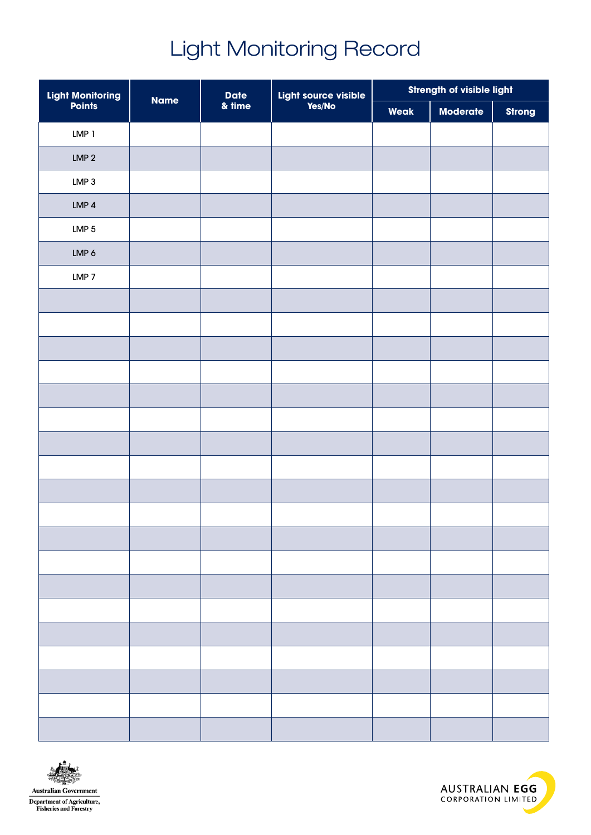# Light Monitoring Record

| Light Monitoring<br>Points | <b>Name</b> | <b>Date</b> | Light source visible<br>Yes/No | Strength of visible light |                 |               |
|----------------------------|-------------|-------------|--------------------------------|---------------------------|-----------------|---------------|
|                            |             | & time      |                                | Weak                      | <b>Moderate</b> | <b>Strong</b> |
| LMP <sub>1</sub>           |             |             |                                |                           |                 |               |
| LMP <sub>2</sub>           |             |             |                                |                           |                 |               |
| LMP <sub>3</sub>           |             |             |                                |                           |                 |               |
| LMP <sub>4</sub>           |             |             |                                |                           |                 |               |
| LMP $5$                    |             |             |                                |                           |                 |               |
| LMP 6                      |             |             |                                |                           |                 |               |
| LMP <sub>7</sub>           |             |             |                                |                           |                 |               |
|                            |             |             |                                |                           |                 |               |
|                            |             |             |                                |                           |                 |               |
|                            |             |             |                                |                           |                 |               |
|                            |             |             |                                |                           |                 |               |
|                            |             |             |                                |                           |                 |               |
|                            |             |             |                                |                           |                 |               |
|                            |             |             |                                |                           |                 |               |
|                            |             |             |                                |                           |                 |               |
|                            |             |             |                                |                           |                 |               |
|                            |             |             |                                |                           |                 |               |
|                            |             |             |                                |                           |                 |               |
|                            |             |             |                                |                           |                 |               |
|                            |             |             |                                |                           |                 |               |
|                            |             |             |                                |                           |                 |               |
|                            |             |             |                                |                           |                 |               |
|                            |             |             |                                |                           |                 |               |
|                            |             |             |                                |                           |                 |               |
|                            |             |             |                                |                           |                 |               |
|                            |             |             |                                |                           |                 |               |



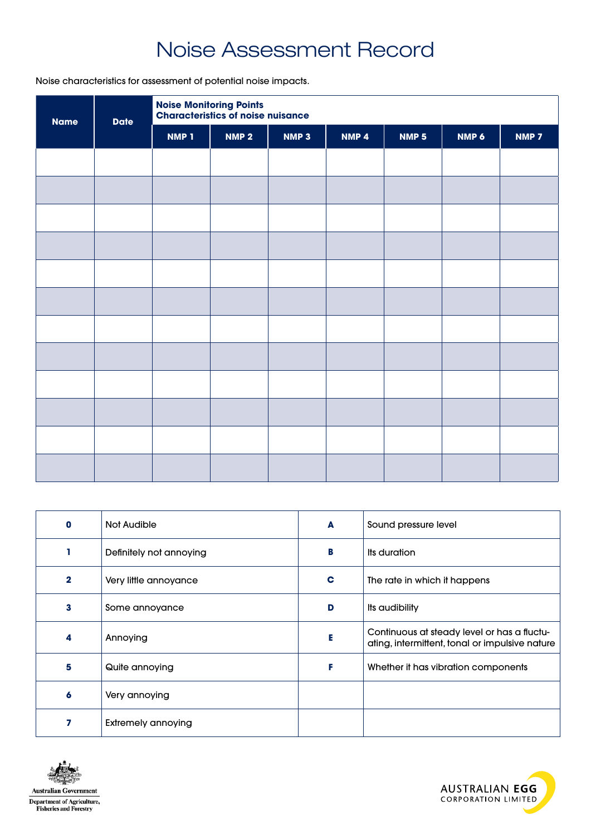# Noise Assessment Record

Noise characteristics for assessment of potential noise impacts.

| <b>Name</b> | <b>Date</b> | <b>Noise Monitoring Points<br/>Characteristics of noise nuisance</b> |                  |                  |                  |                  |       |       |
|-------------|-------------|----------------------------------------------------------------------|------------------|------------------|------------------|------------------|-------|-------|
|             |             | <b>NMP 1</b>                                                         | NMP <sub>2</sub> | NMP <sub>3</sub> | NMP <sub>4</sub> | NMP <sub>5</sub> | NMP 6 | NMP 7 |
|             |             |                                                                      |                  |                  |                  |                  |       |       |
|             |             |                                                                      |                  |                  |                  |                  |       |       |
|             |             |                                                                      |                  |                  |                  |                  |       |       |
|             |             |                                                                      |                  |                  |                  |                  |       |       |
|             |             |                                                                      |                  |                  |                  |                  |       |       |
|             |             |                                                                      |                  |                  |                  |                  |       |       |
|             |             |                                                                      |                  |                  |                  |                  |       |       |
|             |             |                                                                      |                  |                  |                  |                  |       |       |
|             |             |                                                                      |                  |                  |                  |                  |       |       |
|             |             |                                                                      |                  |                  |                  |                  |       |       |
|             |             |                                                                      |                  |                  |                  |                  |       |       |
|             |             |                                                                      |                  |                  |                  |                  |       |       |

| n            | Not Audible               | A | Sound pressure level                                                                          |
|--------------|---------------------------|---|-----------------------------------------------------------------------------------------------|
|              | Definitely not annoying   | в | Its duration                                                                                  |
| $\mathbf{2}$ | Very little annoyance     | C | The rate in which it happens                                                                  |
| 3            | Some annoyance            | D | Its audibility                                                                                |
| 4            | Annoying                  |   | Continuous at steady level or has a fluctu-<br>ating, intermittent, tonal or impulsive nature |
| 5            | Quite annoying            | F | Whether it has vibration components                                                           |
| 6            | Very annoying             |   |                                                                                               |
|              | <b>Extremely annoying</b> |   |                                                                                               |